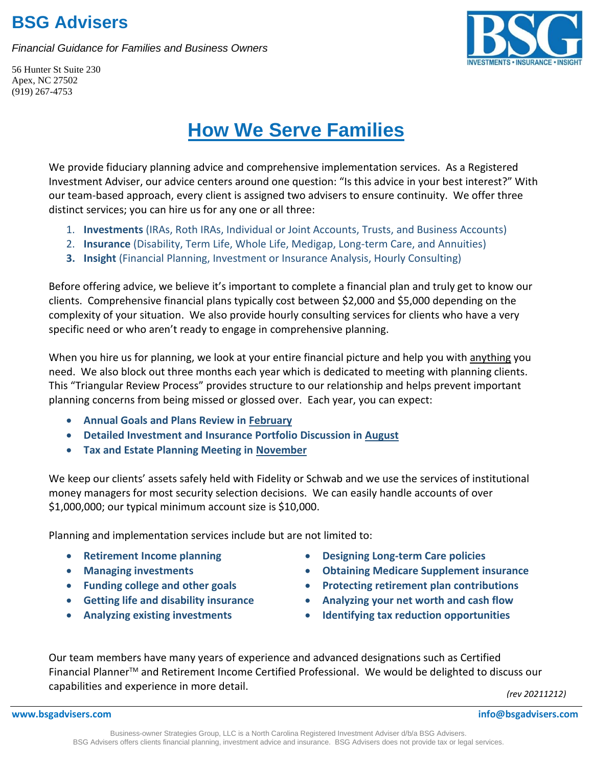### **BSG Advisers**

*Financial Guidance for Families and Business Owners*



56 Hunter St Suite 230 Apex, NC 27502 (919) 267-4753

# **How We Serve Families**

We provide fiduciary planning advice and comprehensive implementation services. As a Registered Investment Adviser, our advice centers around one question: "Is this advice in your best interest?" With our team-based approach, every client is assigned two advisers to ensure continuity. We offer three distinct services; you can hire us for any one or all three:

- 1. **Investments** (IRAs, Roth IRAs, Individual or Joint Accounts, Trusts, and Business Accounts)
- 2. **Insurance** (Disability, Term Life, Whole Life, Medigap, Long-term Care, and Annuities)
- **3. Insight** (Financial Planning, Investment or Insurance Analysis, Hourly Consulting)

Before offering advice, we believe it's important to complete a financial plan and truly get to know our clients. Comprehensive financial plans typically cost between \$2,000 and \$5,000 depending on the complexity of your situation. We also provide hourly consulting services for clients who have a very specific need or who aren't ready to engage in comprehensive planning.

When you hire us for planning, we look at your entire financial picture and help you with anything you need. We also block out three months each year which is dedicated to meeting with planning clients. This "Triangular Review Process" provides structure to our relationship and helps prevent important planning concerns from being missed or glossed over. Each year, you can expect:

- **Annual Goals and Plans Review in February**
- **Detailed Investment and Insurance Portfolio Discussion in August**
- **Tax and Estate Planning Meeting in November**

We keep our clients' assets safely held with Fidelity or Schwab and we use the services of institutional money managers for most security selection decisions. We can easily handle accounts of over \$1,000,000; our typical minimum account size is \$10,000.

Planning and implementation services include but are not limited to:

- **Retirement Income planning**
- **Managing investments**
- **Funding college and other goals**
- **Getting life and disability insurance**
- **Analyzing existing investments**
- **Designing Long-term Care policies**
- **Obtaining Medicare Supplement insurance**
- **Protecting retirement plan contributions**
- **Analyzing your net worth and cash flow**
- **Identifying tax reduction opportunities**

Our team members have many years of experience and advanced designations such as Certified Financial PlannerTM and Retirement Income Certified Professional. We would be delighted to discuss our capabilities and experience in more detail.

*(rev 20211212)*